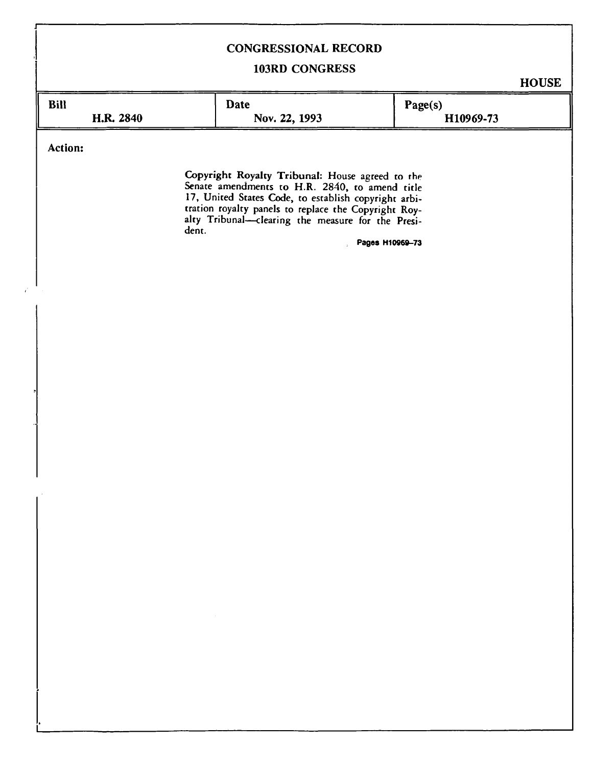# **CONGRESSIONAL RECORD**

# **103RD CONGRESS**

**HOUSE** 

| <b>Bill</b> | Date          | Page(s)   |  |
|-------------|---------------|-----------|--|
| H.R. 2840   | Nov. 22, 1993 | H10969-73 |  |

**Action:** 

**J** 

**Copyright Royalty Tribunal:** House agreed to the Senate amendments to H.R. 2840, to amend title 17, United States Code, to establish copyright arbitration royalty panels to replace the Copyright Royalty Tribunal—clearing the measure for the President.

**Pages H10869-73**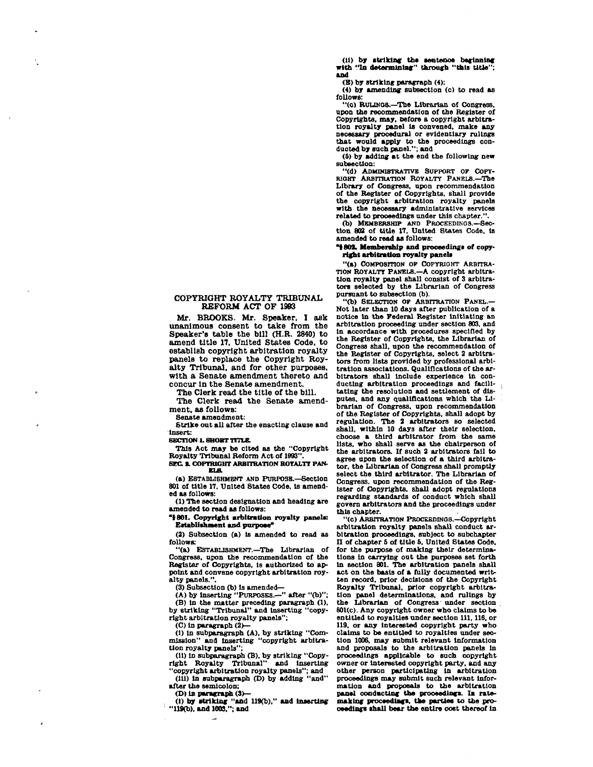**(11) by striking the sentence beginning with "In determining" through 'this title"; and** 

**(B) by striking paragraph (4);** 

**(4) by amending subsection (c) to read as follows:** 

**"(c) RULINOS.—The Librarian of Congress, upon the recommendation of the Register of Copyrights, may, before a copyright arbitration royalty panel is convened, make any necessary procedural or evidentiary rulings that would apply to the proceedings con-ducted by such panel."; and** 

**(5) by adding at the end the following new subsection:** 

**"(d) ADMINISTRATIVE SUPPORT OP COPY-RIOHT ARBITRATION ROYALTY PANELS.—The Library of Congress, upon recommendation of the Register of Copyrights, shall provide the copyright arbitration royalty panels with the necessary administrative services related to proceedings under this chapter.".** 

**(b) MEMBERSHIP AND PROCEEDINGS.—Section 802 of title 17, United States Code. Is amended to read as follows:** 

### **1802. Membership and proceedings of copyright arbitration royalty panels**

**"(a) COMPOSITION OP COPYRIGHT ARBITRA-TION ROYALTY PANELS.—A copyright arbitration royalty panel shall consist of 3 arbitrators selected by the Librarian of Congress pursuant to subsection (b).** 

**"(b) SELECTION OP ARBITRATION PANEL.— Not later than 10 days after publication of a notice in the Federal Register Initiating an arbitration proceeding under section 803, and In accordance with procedures specified by the Register of Copyrights, the Librarian of Congress shall, upon the recommendation of the Register of Copyrights, select 2 arbitrators from lists provided by professional arbitration associations. Qualifications of the arbitrators shall include experience In conducting arbitration proceedings and facili- | tatlng the resolution and settlement of disputes, and any qualifications which the Librarian of Congress, upon recommendation of the Register of Copyrights, shall adopt by regulation. The 2 arbitrators so selected shall, within 10 days after their selection, choose a third arbitrator from the same lists, who shall serve as the chairperson of the arbitrators. If such 2 arbitrators fall to agree upon the selection of a third arbitrator, the Librarian of Congress shall promptly select the third arbitrator. The Librarian of Congress, upon recommendation of the Register of Copyrights, shall adopt regulations regarding standards of conduct which shall govern arbitrators and the proceedings under this chapter.** 

**"(c) ARBITRATION PROCEEDINGS.—Copyright arbitration royalty panels shall conduct arbitration proceedings, subject to subchapter n of chapter 6 of title 5. United States Code, for the purpose of making their determinations In carrying out the purposes set forth in section 801. The arbitration panels shall act on the basis of a fully documented written record, prior decisions of the Copyright Royalty Tribunal, prior copyright arbitration panel determinations, and rulings by the Librarian of Congress under section 801(c). Any copyright owner who claims to be entitled to royalties under section 111, 118, or 119, or any interested copyright party who claims to be entitled to royalties under section 1006, may submit relevant information and proposals to the arbitration panels In proceedings applicable to such copyright owner or Interested copyright party, and any other person participating in arbitration proceedings may submit such relevant information and proposals to the arbitration panel conducting the proceedings. la ratemaking proceedings, the parties to the proceedings shall bear the entire cost thereof in** 

## **COPYRIGHT ROYALTY TRIBUNAL REFORM ACT OF 1993**

**Mr. BROOKS. Mr. Speaker, I ask unanimous consent to take from the Speaker's table the bill (H.R. 2840) to amend title 17, United States Code, to establish copyright arbitration royalty panels to replace the Copyright Royalty Tribunal, and for other purposes, with a Senate amendment thereto and concur In the Senate amendment.** 

**The Clerk read the title of the bill.** 

**The Clerk read the Senate amendment, as follows:** 

**Senate amendment:** 

**Strike out all after the enacting clause and insert:** 

#### **SECTION L SHORT TITLE.**

**This Act may be cited as the "Copyright Royalty Tribunal Reform Act of 1993". 8EC. 2. COPYRIGHT ARBITRATION ROYALTY PAN-**

**ELS. (a) ESTABLISHMENT AND PURPOSE.—Section 801 of title 17, United States Code, is amended as follows:** 

**(1) The section designation and heading are amended to read as follows:** 

**"t801. Copyright arbitration royalty panels; Establishment and purpose\*** 

**(2) Subsection (a) is amended to read as follows:** 

**"(a) ESTABLISHMENT.—The Librarian of Congress, upon the recommendation of the Register of Copyrights, Is authorized to appoint and convene copyright arbitration royalty panels.".** 

**(3) Subsection (b) is amended— (A) by inserting "PURPOSES.—" after "(b)"; (B) In the matter preceding paragraph (1). by striking "Tribunal" and Inserting "copy-right arbitration royalty panels": (C) In paragraph (2)—** 

**(I) In subparagraph (A), by striking "Com-mission" and Inserting "copyright arbitration royalty panels":** 

**(II) In subparagraph (B), by striking "Copy**right Royalty Tribunal" **"copyright arbitration royalty panels"; and (ill) in subparagraph (D) by adding "and"** 

**after the semicolon;** 

**(D) in paragraph (3>—** 

**(1) by striking "and 119(b)," and Inserting "119(b). and 1003."; and**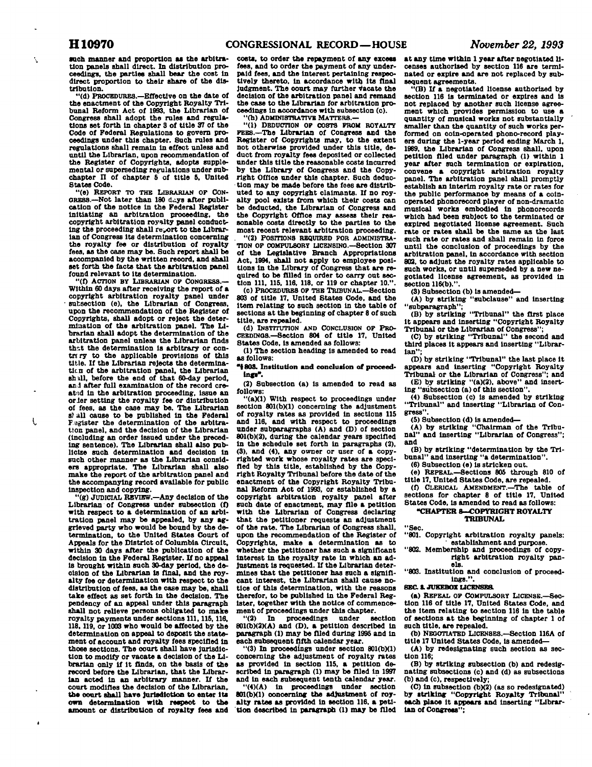Ń

 $\mathbf{I}$ 

 $\lambda$ 

**such manner and proportion as the arbitration panels shall direct. In distribution proceedings, the parties shall bear the cost In direct proportion to their share of the distribution.** 

**"(d) PROCEDURES.—Effective on the date of the enactment of the Copyright Royalty Tribunal Reform Act of 1993, the Librarian of Congress shall adopt the rules and regulations set forth in chapter 3 of title 37 of the Code of Federal Regulations to govern proceedings under this chapter. Such rules and regulations shall remain In effect unless and until the Librarian, upon recommendation of**  the Register of Copyrights, adopts supple**mental or superseding regulations under subchapter n of chapter S of title 6, United States Code.** 

**"(e) REPORT TO THE LIBRARIAN OP CON-0RE8S.**-Not later than 180 days after publi**cation of the notice In the Federal Register**  initiating an arbitration proceeding, **copyright arbitration royalty panel conduct-ing the proceeding shall report to the Librarian of Congress its determination concerning the royalty fee or distribution of royalty fees, as the case may be. Such report shall be aooompanled by the written record, and shall set forth the facts that the arbitration panel found relevant to its determination.** 

**"(0 ACTION BY LIBRARIAN OP CONGRESS.— Within 60 days after receiving the report of a copyright arbitration royalty panel under - subsection (e), the Librarian of Congress, upon the recommendation of the Register of Copyrights, shall adopt or reject the determination of the arbitration panel. The Librarian shall adopt the determination of the arbitration panel unless the Librarian finds that the determination is arbitrary or contrery to the applicable provisions of this title. If the Librarian rejects the determination of the arbitration panel, the Librarian shall, before the end of that 60-day period, and after full examination of the record created in the arbitration proceeding. Issue an orler setting the royalty fee or distribution of fees, as the case may be. The Librarian 8) all cause to be published In the Federal Feglster the determination of the arbitration panel, and the decision of the Librarian (including an order Issued under the preceding sentence). The Librarian shall also publicize such determination and decision in such other manner as the Librarian considers appropriate. The Librarian shall also make the report of the arbitration panel and the accompanying record available for public inspection and copying.** 

**"(g) JUDICIAL REVIEW.—Any decision of the Librarian of Congress under subsection (f) with respect to a determination of an arbitration panel may be appealed, by any aggrieved party who would be bound by the determination, to the United States Court of Appeals for the Dlstriot of Columbia Circuit, within 30 days after the publication of the decision In the Federal Register. If no appeal is brought within such 30-day period, the decision of the Librarian Is final, and the royalty fee or determination with respect to the distribution of fees, as the case may be, shall take effect as set forth In the decision. The pendency of an appeal under this paragraph shall not relieve persons obligated to make**  royalty payments under sections 111, 115, 116, **118,119, or 1003 who would be affected by the determination on appeal to deposit the statement of account and royalty fees specified in those sections. The court shall have Jurisdiction to modify or vacate a decision of the Librarian only If It finds, on the basis of the record before the Librarian, that the Librarian acted In an arbitrary manner. If the court modifies the decision of the Librarian, the ooort shall have Jurisdiction to enter its own determination with respect to the amount or distribution of royalty fees and** 

**costs, to order the repayment of any excess fees, and to order the payment of any underpaid fees, and the interest pertaining respectively thereto. In accordance with its final Judgment. The court may further vacate the decision of the arbitration panel and remand the case to the Librarian for arbitration proceedings in accordance with subsection (o).** 

**'(h) ADMINISTRATIVE MATTERS.** 

**"(1) DEDUCTION OP COSTS PROM ROYALTY PEES.—The Librarian of Congress and the Register of Copyrights may, to the extent not otherwise provided under this title, deduct from royalty fees deposited or collected under this title the reasonable costs Incurred by the Library of Congress and the Copyright Office under this chapter. Such deduction may be made before the fees are distributed to any copyright claimants. If no royalty pool exists from which their costs can be deducted, the Librarian of Congress and the Copyright Office may assess their reasonable costs directly to the parties to the most recent relevant arbitration proceeding.** 

**"(2) POSITIONS REQUIRED FOR ADMINISTRA-TION OP COMPULSORY LICBNSINQ.—Section 307 of the Legislative Branch Appropriations Act, 1994, shall not apply to employee positions In the Library of Congress that are required to be filled In order to carry out section 111, US. 116, 118. or 119 or chapter 10.".** 

**(c) PROCEDURES OP THE TRIBUNAL.—Section 803 of title 17, United States Code, and the Item relating to such section In the table of sections at the beginning of chapter 8 of such title, are repealed.** 

**(d) INSTITUTION AND CONCLUSION OF PRO-CEEDINGS.—Section 804 of title 17, United States Code, Is amended as follows:** 

**(1) The section heading is amended to read as follows:** 

**"t 80S. Institution and conclusion of proceedinsy.** 

**(2) Subsection (a) is amended to read as follows:** 

**"(a)(1) With respect to proceedings under section 801(b)(1) concerning the adjustment of royalty rates as provided in sections 115 and 116, and with respect to proceedings under subparagraphs (A) and (D) of section 801(b)(2), during the calendar years specified in the schedule set forth In paragraphs (2), (3), and (4), any owner or user of a copyrighted work whose royalty rates are specified by this title, established by the Copyright Royalty Tribunal before the date of the enactment of the Copyright Royalty Tribunal Reform Act of 1993, or established by a copyright arbitration royalty panel after such date of enactment, may file a petition with the Librarian of Congress declaring that the petitioner requests an adjustment of the rate. The Librarian of Congress shall, upon the recommendation of the Register of Copyrights, make a determination as to whether the petitioner has such a significant Interest in the royalty rate In which an adjustment Is requested. If the Librarian determines that the petitioner has such a significant Interest, the Librarian shall cause notice of this determination, with the reasons therefor, to be published In the Federal Register, together with the notice of commencement of proceedings under this chapter.** 

**"(2) In proceedings under section 801(b)(2)(A) and (D), a petition described In paragraph (1) may be filed during 1995 and in each subsequent fifth calendar year.** 

**"(3) In proceedings under section 801(bXD concerning the adjustment of royalty rates as provided In section 115, a petition described In paragraph (1) may be filed In 1997 and in each subsequent tenth calendar year.** 

**"(4)(A) in proceedings under section 801(b)(1) concerning the adjustment of royalty rates as provided In section 116, a petition described In paragraph (1) may be filed**  **at any time within 1 year after negotiated licenses authorized by section 116 are terminated or expire and are not replaced by subsequent agreements.** 

**"(B) If a negotiated license authorized by section 116 Is terminated or expires and is not replaced by another such license agreement which provides permission to use a quantity of musical works not substantially smaller than the quantity of such works performed on ooln-operated phono-record players during the 1-year period ending March 1, 1989, the Librarian of Congress shall, upon petition filed under paragraph (1) within 1 year after such termination or expiration, convene a copyright arbitration royalty panel. The arbitration panel shall promptly establish an Interim royalty rate or rates for the public performance by means of a coinoperated phonorecord player of non-dramatic musical works embodied in phonorecords which had been subject to the terminated or expired negotiated license agreement. Such rate or rates shall be the same as the last such rate or rates and shall remain In force until the conclusion of proceedings by the arbitration panel. In accordance with section 802, to adjust the royalty rates applicable to such works, or until superseded by a new negotiated license agreement, as provided in section 116(b).".** 

**(3) Subsection (b) Is amended—** 

**(A) by striking "subclause" and Inserting "subparagraph";** 

**(B) by striking "Tribunal" the first place It appears and inserting "Copyright Royalty** 

**Tribunal or the Librarian of Congress"; (C) by striking "Tribunal" the second and**  third places it appears and inserting "Librar**ian";** 

**CD) by striking "Tribunal" the last place It appears and inserting "Copyright Royalty Tribunal or the Librarian of Congress"; and** 

**(E) by striking "(a)(2), above" and Inserting "subsection (a) of this section".** 

**(4) Subsection (c) Is amended by striking "Tribunal" and Inserting "Librarian of Congress".** 

**(5) Subsection (d) is amended—** 

**(A) by striking "Chairman of the Tribunal" and Inserting "Librarian of Congress"; and** 

**(B) by striking "determination by the Tribunal" and Inserting "a determination".** 

**(6) Subsection (e) Is stricken out.** 

**(e) REPEAL.—Sections 805 through 810 of title 17, United States Code, are repealed.** 

**(0 CLERICAL AMENDMENT.—The table of sections for chapter 8 of title 17, United States Code, Is amended to read as follows:** 

**"CHAPTER 8—COPYRIGHT ROYALTY TRIBUNAL** 

#### **"Sec.**

**"801. Copyright arbitration royalty panels: ' establishment and purpose.** 

**"802. Membership and proceedings of copyright arbitration royalty panels.** 

**"803. Institution and conclusion of proceedings.".** 

## **SEC S, JUKEBOX LICENSES.**

**(a) REPEAL OP COMPULSORY LICENSE.—Section 116 of title 17, United States Code, and the Item relating to section 116 In the table of sections at the beginning of chapter 1 of such title, are repealed.** 

**(b) NEGOTIATED LICENSES.—Section 116A of title 17 United States Code, Is amended—** 

**(A) by redesignating such section as section 116;** 

**(B) by striking subsection (b) and redesignating subsections (c) and (d) as subsections (b) and (c), respectively;** 

**(C) in subsection (b)(2) (as so redesignated) by striking "Copyright Royalty Tribunal" each place It appears and inserting "Librarian of Congress";**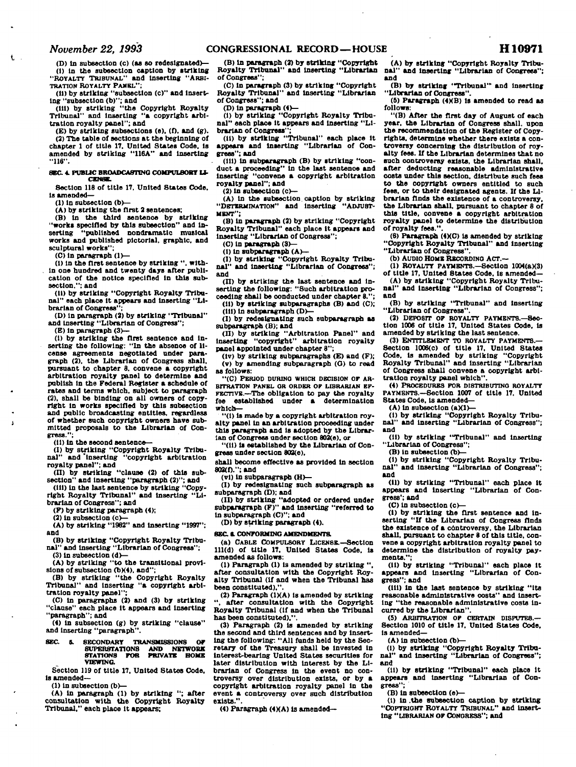ŧ.

**(D) In subsection (c) (as so redesignated)—** 

**(!) in the subsection caption by striking "ROYALTY TRIBUNAL" and inserting "ARBI-TRATION ROYALTY PANEL";** 

**(II) by striking "subsection (c)" and Insert-**

**ing "subsection (b)"; and (III) by striking "the Copyright Royalty Tribunal" and Inserting "a copyright arbitration royalty panel"; and** 

**(E) by striking subsections (e). (f). and (g). (2) The table of sections at the beginning of chapter 1 of title 17. United States Code. Is amended by striking "116A" and Inserting "U6".** 

#### **SBC 4. PUBLIC BROADCASTING COMPULSORY LL CENSE.**

**Section 118 of title 17. United States Code. Is amended—** 

**(1) In subsection (b)—** 

**(A) by striking the first 2 sentences;** 

**(B) In the third sentence by striking "works specified by this subsection" and inserting "published nondramatlc musical works and published pictorial, graphic, and sculptural works";** 

**(C) In paragraph (1)—** 

**(I) In the first sentence by striking ". within one hundred and twenty days after publication of the notice specified In this subsection."; and** 

**(II) by striking "Copyright Royalty Tribunal" each place it appears and Inserting "Librarian of Congress";** 

**(D) In paragraph (2) by striking "Tribunal" and Inserting "Librarian of Congress";** 

**(E) In paragraph (3)—** 

**(I) by striking the first sentence and Inserting the following: "In the absence of license agreements negotiated under paragraph (2). the Librarian of Congress shall, pursuant to chapter 8. convene a copyright arbitration royalty panel to determine and publish In the Federal Register a schedule of rates and terms which, subject to paragraph (2), shall be binding on all owners of copyright In works specified by this subsection and public broadcasting entitles, regardless of whether such copyright owners have submitted proposals to the Librarian of Congress.";** 

**(II) In the second sentence—** 

**(1) by striking "Copyright Royalty Tribunal" and 'Inserting "copyright arbitration royalty panel"; and** 

**(II) by striking "clause (2) of this sub-**

**section" and Inserting "paragraph (2)"; and (III) In the last sentence by striking "Copy-right Royalty Tribunal" and Inserting "Librarian of Congress"; and** 

**(F) by striking paragraph (4);** 

**(2) In subsection (c>—** 

**(A) by striking "1982" and Inserting "1997": and** 

**(B) by striking "Copyright Royalty Tribunal" and Inserting "Librarian of Congress"; (3) In subsection (d)—** 

**(A) by striking "to the transitional provi-**

**sions of subsection (b)(4), and"; (B) by striking "the Copyright Royalty Tribunal" and Inserting "a copyright arbitration royalty panel":** 

**(C) In paragraphs (2) and (3) by striking "clause" each place it appears and Inserting "paragraph"; and** 

**(4) In subsection (g) by striking "clause" and Inserting "paragraph".** 

**SEC S. SECONDARY TRANSMISSIONS OF 8UPERSTATI0NS AND NETWORK STATIONS FOR PRIVATB HOME VIEWING.** 

**Section 119 of title 17. United States Code. Is amended—** 

**(1) In subsection (b)—** 

**(A) In paragraph (1) by striking "; after consultation with the Copyright Royalty Tribunal." each place it appears;** 

**(B) In paragraph (2) by striking "Copyright Royalty Tribunal" and Inserting "Librarian of Congress";** 

**(C) In paragraph (3) by striking "Copyright Royalty Tribunal" and Inserting "Librarian of Congress"; and** 

**(D) In paragraph (4)—** 

**(1) by striking "Copyright Royalty Tribunal" each place It appears and Inserting "Librarian of Congress";** 

**(11) by striking "Tribunal" each place It appears and Inserting "Librarian of Congress"; and** 

**(HI) In subparagraph (B) by striking "con-duct a proceeding" In the last sentence and Inserting "convene a copyright arbitration royalty panel"; and** 

**(2) In subsection (c)—** 

**(A) In the subsection caption by striking "DETERMINATION" and Inserting "ADJUST-MENT";** 

**(B) In paragraph (2) by striking "Copyright Royalty Tribunal" each place It appears and Inserting "Librarian of Congress";** 

**(C) In paragraph <3>—** 

**(1) In subparagraph (A)— (I) by striking "Copyright Royalty Tribunal" and Inserting "Librarian of Congress"; and** 

**(II) by striking the last sentence and Inserting the following: "Such arbitration proceeding shall be conducted under chapter 8.";** 

**(11) by striking subparagraphs (B) and (C); (Hi) in subparagraph (D>—** 

**(I) by redesignating such subparagraph as subparagraph (B); and** 

**(II) by striking "Arbitration Panel" and Inserting "copyright" arbitration royalty panel appointed under chapter 8";** 

**(lv) by striking subparagraphs (E) and (F); (v) by amending subparagraph (O) to read as follows:** 

**"(C) PERIOD DURINO WHICH DECISION OF AR-BITRATION PANEL OR ORDER OF LIBRARIAN EF-FECTIVE.—The obligation to pay the royalty fee established under a determination which—** 

**"(1) Is made by a copyright arbitration royalty panel In an arbitration proceeding under this paragraph and Is adopted by the Librarian of Congress under section 802(e), or** 

**"(11) Is established by the Librarian of Congress under section 802(e),** 

**shall become effective as provided in section 802(f)."; and** 

**(vl) In subparagraph (H>— (I) by redesignating such subparagraph as** 

**subparagraph (D); and (II) by striking "adopted or ordered under** 

**subparagraph (F)" and inserting "referred to In subparagraph (C)"; and (D) by striking paragraph (4).** 

## **SEC a CONFORMING AMENDMENTS.**

**(a) CABLE COMPULSORY LICENSE.—Section 111(d) of title 17. United States Code, Is amended as follows:** 

**(1) Paragraph (1) Is amended by striking ". after consultation with the Copyright Royalty Tribunal (If and when the Tribunal has been constituted),".** 

**(2) Paragraph (1XA) Is amended by striking**  after consultation with the Copyright **Royalty Tribunal (If and when the Tribunal has been constituted).".** 

**(3) Paragraph (2) is amended by striking the second and third sentences and by Inserting the following: "All funds held by the Secretary of the Treasury shall be Invested in Interest-bearing United States securities for later distribution with interest by the Librarian of Congress in the event no controversy over distribution exists, or by a copyright arbitration royalty panel In the event a controversy over such distribution exists.".** 

**(4) Paragraph (4XA) is amended—** 

**(A) by striking "Copyright Royalty Tribu**and inserting "Librarian of Congress"; **and** 

**(B) by striking "Tribunal"' and Inserting "Librarian of Congress".** 

**(6) Paragraph (4KB) Is amended to read as follows:** 

**"(B) After the first day of August of each year, the Librarian of Congress shall, upon the recommendation of the Register of Copyrights, determine whether there exists a controversy concerning the distribution of royalty fees. If the Librarian determines that no such controversy exists, the Librarian shall, after deducting reasonable administrative costs under this section, distribute such fees to the copyright owners entitled to such fees, or to their designated agents. If the Librarian finds the existence of a controversy, the Librarian shall, pursuant to chapter 8 of this title, convene a copyright arbitration royalty panel to determine the distribution of royalty fees.".** 

**(6) Paragraph (4X.C) Is amended by striking "Copyright Royalty Tribunal" and Inserting "Librarian of Congress".** 

**(b) AUDIO HOME RECORDING ACT.—** 

**(1) ROYALTY PAYMENTS.—Section l0O4(aX3) of title 17. United States Code. Is amended—** 

**(A) by striking "Copyright Royalty Tribunal" and Inserting "Librarian of Congress";** 

**and (B) by striking "Tribunal" and Inserting** 

**"Librarian of Congress".** 

**(2) DEPOSIT OF ROYALTY PAYMENTS.—Sec-tion 1006 of title 17, United States Code. Is amended by striking the last sentence.** 

**(3) ENTITLEMENT TO ROYALTY PAYMENTS.— Section 1003(c) of title 17, United States Code, is amended by striking "Copyright Royalty Tribunal" and Inserting "Librarian of Congress shall convene a copyright arbitration royalty panel which".** 

**(4) PROCEDURES FOR DISTRIBUTINO ROYALTY PAYMENTS.—Section 1007 of title 17. United States Code, Is amended—** 

**(A) In subsection (aXl)—** 

**(I) by striking "Copyright Royalty Tribunal" and Inserting "Librarian of Congress"; and** 

**(II) by striking "Tribunal" and Inserting "Librarian of Congress";** 

**(B) In subsection (b)—** 

**(I) by striking "Copyright Royalty Tribunal" and inserting "Librarian of Congress"; and** 

**(II) by striking "Tribunal" each place it appears and Inserting "Librarian of Congress'; and** 

**(C) In subsection (c)—** 

**(I) by striking the first sentence and In-serting "If the Librarian of Congress finds the existence of a controversy, the Librarian shall, pursuant to chapter 8 of this title, convene a copyright arbitration royalty panel to determine the distribution of royalty payments.";** 

**(II) by striking "Tribunal" each place It appears and Inserting "Librarian of Congress"; and** 

**(ill) in the last sentence by striking "Its reasonable administrative costs" and Inserting "the reasonable administrative costs Incurred by the Librarian".** 

**(5) ARBITRATION OF CERTAIN DISPUTES.— Section 1010 of title 17, United States Code, Is amended—** 

**(A) In subsection (b>—** 

**(I) by striking "Copyright Royalty Tribunal" and Inserting "Librarian of Congress"; and** 

**(II) by striking "Tribunal" each place It appears and Inserting "Librarian of Congress";** 

**(B) In subsection (e)—** 

**(1) In .the subsection caption by striking "COPYRiOHT ROYALTY TRIBUNAL" and Inserting "LIBRARIAN OF CONORE3S"; and**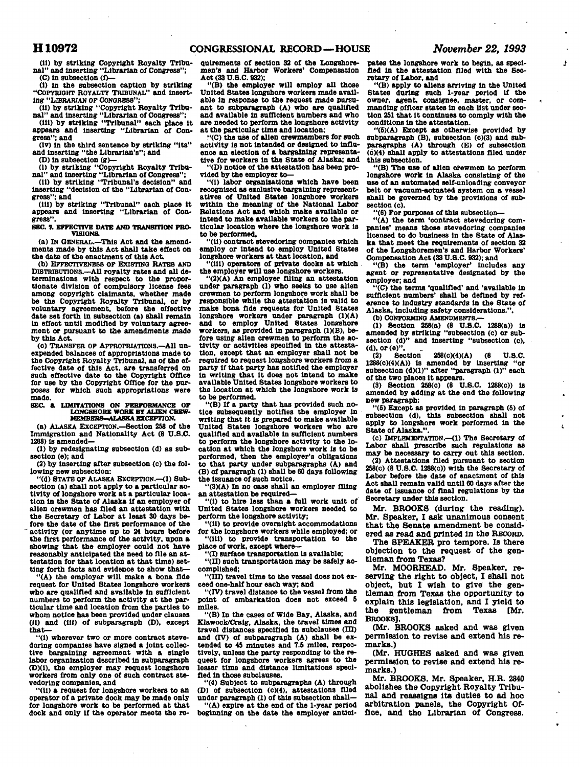j

**(11) by striking Copyright Royalty Tribunal" and Inserting "Librarian of Congress"; (C) In subsection (f>—** 

**(I) In the subsection caption by striking "COPYRIGHT ROYALTY TRIBUNAL" and Inserting "LIBRARIAN OF CONGRESS";** 

**(II) by striking "Copyright Royalty Tribu-nal" and Inserting "Librarian of Congress";** 

**(HI) by striking "Tribunal" each place It appears and Inserting "Librarian of Congress"; and** 

**(lv) In the third sentence by striking "Its" and Inserting "the Librarian's"; and** 

**(D) in subsection (g)—** 

**(I) by striking "Copyright Royalty Tribu-**

**nal" and Inserting "Librarian of Congress"; (II) by striking "Tribunal's decision" and inserting "decision of the "Librarian of Con-**

**gress"; and (ill) by striking "Tribunal" each place it** 

**appears and Inserting "Librarian of Congress". SEC. 7. EFFECTIVE DATE AND TRANSITION PRO-**

**VISIONS.** 

**(a) IN GENERAL.—This Act and the amendments made by this Act shall take effect on the date of the enactment of this Act.** 

**(b) EFFECTIVENESS OF EXISTING RATES AND DISTRIBUTIONS.—All royalty rates and all determinations with respect to the proportionate division of compulsory license fees among copyright claimants, whether made be the Copyright Royalty Tribunal, or by voluntary agreement, before the effective date sot forth in subsection (a) shall remain In effect until modified by voluntary agreement or pursuant to the amendments made by this Act.** 

**(c) TRANSFER OF APPROPRIATIONS.—All unexpended balances of appropriations made to the Copyright Royalty Tribunal, as of the effective date of this Act, are transferred on such effective date to the Copyright Office for use by the Copyright Office for the purposes for which such appropriations were made.** 

# **SEC. & LIMITATIONS ON PERFORMANCE OF LONGSHORE WORK BT ALIEN CREW-MEMBERS-ALASKA EXCEPTION.**

**(a) ALASKA EXCEPTION.—Section 258 of the Immigration and Nationality Act (8 U.S.C. 1288) Is amended—** 

**(1) by redesignating subseotlon (d) as subsection (e); and** 

**(2) by Inserting after subsection (c) the following new subsection:** 

**"(d) STATE OF ALASKA EXCEPTION.—(1) Subsection (a) shall not apply to a particular activity of longshore work at a particular location In the State of Alaska If an employer of alien orewmen has filed an attestation with the Secretary of Labor at least 30 days before the date of the first performance of the ' activity (or anytime up to 24 hours before the first performance of the activity, upon a showing that the employer could not have reasonably anticipated the need to file an attestation for that location at that time) setting forth facts and evidence to show that—** 

**"(A) the employer will make a bona fide request for United States longshore workers who are qualified and available In sufficient numbers to perform the activity at the particular time and location from the parties to whom notice has been provided under clauses (11) and (ill) of subparagraph (D), except that -**

"(i) wherever two or more contract steve**doring companies have signed a joint collective bargaining agreement with a single labor organization described in subparagraph (DX1), the employer may request longshore workers from only one of such contract stevedoring companies, and** 

**"(11) a request for longshore workers to an operator of a private dock may be made only for longshore work to be performed at that dock and only If the operator meets the re-** **quirements of section 32 of the Longshoremen's and Harbor Workers' Compensation Act (33 U.S.C. 932);** 

**"(B) the employer will employ all those United States longshore workers made available In response to the request made pursuant to subparagraph (A) who are qualified**  and available in sufficient numbers and who **are needed to perform the longshore activity at the particular time and location;** 

**"(C) the use of alien orewmembers for such activity Is not Intended or designed to influence an election of a bargaining representative for workers In the State of Alaska; and "(D) notice of the attestation has been provided by the employer to—** 

**"(1) labor organisations which have been recognized as exclusive bargaining representatives of United States longshore workers within the meaning of the National Labor Relations Act and which make available or Intend to make available workers to the particular location where the longshore work Is to be performed,** 

**"(11) contract stevedoring companies which employ or Intend to employ United States longshore workers at that location, and** 

**"(ill) operators of private docks at which the employer will use longshore workers.** 

"(2)(A) An employer filing an attestation **under paragraph (1) who seeks to use alien crewmen to perform longshore work shall be responsible while the attestation is valid to make bona fide requests for United States**  longshore workers under paragraph (1)(A) **and to employ United States longshore workers, as provided In paragraph (1KB), before using alien crewmen to perform the activity or activities specified In the attestation, except that an employer shall not be required to request longshore workers from a party If that party has notified the employer in writing that it does not Intend to make available United States longshore workers to the location at which the longshore work is to be performed.** 

**"(B) If a party that has provided such notice subsequently notifies the employer in writing that it Is prepared to make available United States longshore workers who are qualified and available In sufficient numbers to perform the longshore activity to the location at which the longshore work Is to be performed, then the employer's obligations to that party under subparagraphs (A) and (B) of paragraph (1) shall be 60 days following the Issuance of such notice.** 

**"(3)(A) In no case shall an employer filing an attestation be required—** 

**"(1) to hire less than a full work unit of United States longshore workers needed to perform the longshore activity;** 

**"(11) to provide overnight accommodations for the longshore workers while employed; or "(HI) to provide transportation to the place of work, except where—** 

**"(I) surface transportation is available;** 

**"(II) such transportation may be safely accomplished;** 

**"(III) travel time to the vessel does not exceed one-half hour each way; and** 

**"(IV) travel dlstanoe to the vessel from the point of embarkation does not exceed 6 miles.** 

**"(B) In the cases of Wide Bay, Alaska, and Klawock/Cralg, Alaska, the travel times and travel distances specified In subclauses (HI) and (IV) of subparagraph (A) shall be extended to 45 minutes and 7.5 miles, respectively, unless the party responding to the request for longshore workers agrees to the lesser time and distance limitations specified In those subclauses.** 

**"(4) Subject to subparagraphs (A) through (D) of subsection (c)(4), attestations filed under paragraph (1) of this subsection shall—** 

**"(A) expire at the end of the 1-year period beginning on the date the employer antici-** **pates the longshore work to begin, as specified in the attestation filed with the Secretary of Labor, and** 

**"(B) apply to aliens arriving in the United States during such 1-year period if the owner, agent, consignee, master, or commanding officer states In each list under section 251 that It continues to comply with the conditions in the attestation.** 

**"(5)(A) Except as otherwise provided by subparagraph (B), subsection (c)(3) and subparagraphs (A) through (E) of subsection (6X4) shall apply to attestations filed under this subseotlon.** 

**"(B) The use of alien orewmen to perform longshore work In Alaska consisting of the use of an automated self-unloading conveyor belt or vacuum-actuated system on a vessel shall be governed by the provisions of subsection (c).** 

**"(6) For purposes of this subsection—** 

**"(A) the term 'contract stevedoring companies' means those stevedoring companies licensed to do business In the State of Alaska that meet the requirements of section 32 of the Longshoremen's and Harbor Workers' Compensation Act (33 U.S.C. 932); and** 

**"(B) the term 'employer' Includes any agent or representative designated by the employer; and** 

**"(C) the terms 'qualified' and 'available in sufficient numbers' shall be defined by reference to Industry standards In the State of Alaska, Including safety considerations.".** 

**(b) CONFORMING AMENDMENTS.—** 

**(1) Section 258(a) (8 U.S.C. 1288(a)) Is amended by striking "subsection (c) or subsection (d)" and Inserting "subsection (c), (d).or(e)".** 

**(2) Section 258(c)(4)(A) (8 U.S.C. 1288(c)(4)(A)) Is amended by inserting "or subsection (dXD" after "paragraph (1)" each of the two places It appears.** 

**(3) Section 258(0) (8 U.S.C. 1288(c)) is amended by adding at the end the following new paragraph:** 

**"(5) Except as provided In paragraph (5) of subsection (d), this subsection shall not apply to longshore work performed in the State of Alaska.".** 

**(c) IMPLEMENTATION.—(1) The Secretary of Labor shall prescribe such regulations as may be necessary to carry out this section.** 

**(2) Attestations filed pursuant to section 258(c) (8 U.S.C. 1288(c)) with the Secretary of Labor before the date of enactment of this Act shall remain valid until 60 days after the date of Issuance of final regulations by the Secretary under this section.** 

**Mr. BROOKS (during the reading). Mr. Speaker, I ask unanimous consent that the Senate amendment be considered as read and printed in the RECORD.** 

**The SPEAKER pro tempore. Is there objection to the request of the gentleman from Texas?** 

**Mr. MOORHEAD. Mr. Speaker, reserving the right to object, I shall not object, but I wish to give the gentleman from Texas the opportunity to explain this legislation, and I yield to the gentleman from Texas [Mr. BROOKS].** 

**(Mr. BROOKS asked and was given permission to revise and extend his remarks.)** 

**(Mr. HUGHES asked and was given permission to revise and extend his remarks.)** 

**Mr. BROOKS. Mr. Speaker, H.R. 2840 abolishes the Copyright Royalty Tribunal and reassigns its duties to ad hoc arbitration panels, the Copyright Office, and the Librarian of Congress.**